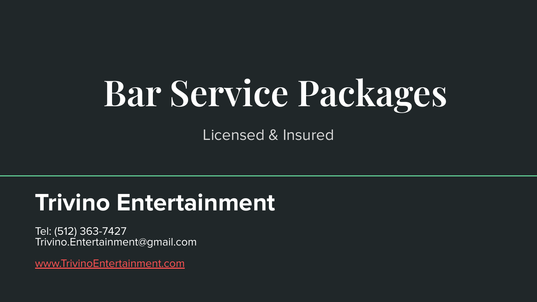## **Bar Service Packages**

Licensed & Insured

### **Trivino Entertainment**

Tel: (512) 363-7427 Trivino.Entertainment@gmail.com

[www.TrivinoEntertainment.com](http://www.trivinoentertainment.com)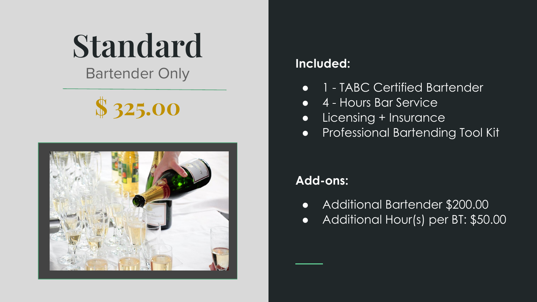## **Standard**

Bartender Only **Included:** 





- 1 TABC Certified Bartender
- 4 Hours Bar Service
- Licensing + Insurance
- Professional Bartending Tool Kit

### **Add-ons:**

- Additional Bartender \$200.00
- Additional Hour(s) per BT: \$50.00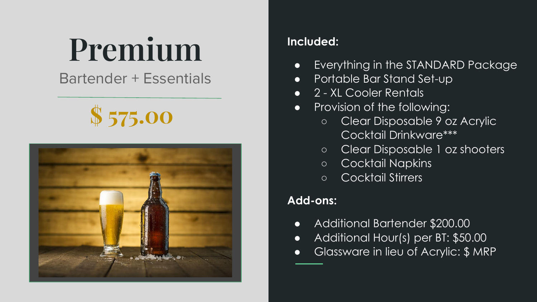## **Premium**

### Bartender + Essentials

### **\$ 575.00**



#### **Included:**

- Everything in the STANDARD Package
- Portable Bar Stand Set-up
- 2 XL Cooler Rentals
- Provision of the following:
	- Clear Disposable 9 oz Acrylic Cocktail Drinkware\*\*\*
	- Clear Disposable 1 oz shooters
	- Cocktail Napkins
	- Cocktail Stirrers

#### **Add-ons:**

- Additional Bartender \$200.00
- Additional Hour(s) per BT: \$50.00
- Glassware in lieu of Acrylic: \$ MRP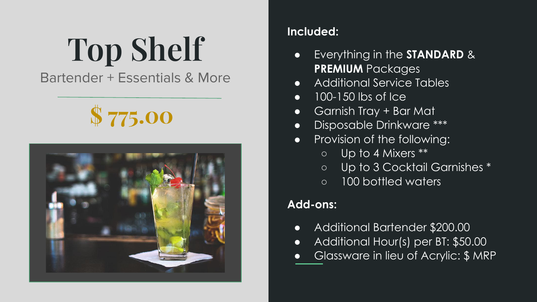# **Top Shelf**

Bartender + Essentials & More

### **\$ 775.00**



#### **Included:**

- Everything in the **STANDARD** & **PREMIUM** Packages
- Additional Service Tables
- 100-150 lbs of Ice
- Garnish Tray + Bar Mat
- Disposable Drinkware \*\*\*
- Provision of the following:
	- Up to 4 Mixers \*\*
	- Up to 3 Cocktail Garnishes \*
	- 100 bottled waters

### **Add-ons:**

- Additional Bartender \$200.00
- Additional Hour(s) per BT: \$50.00
- Glassware in lieu of Acrylic: \$ MRP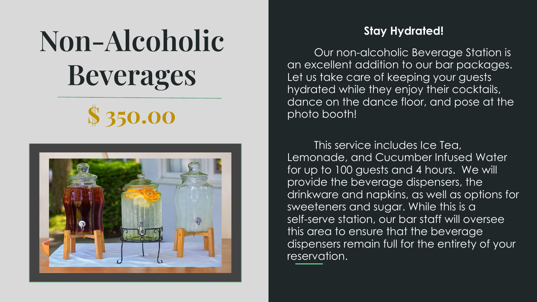### **Non-Alcoholic Beverages**





#### **Stay Hydrated!**

Our non-alcoholic Beverage Station is an excellent addition to our bar packages. Let us take care of keeping your guests hydrated while they enjoy their cocktails, dance on the dance floor, and pose at the photo booth!

This service includes Ice Tea, Lemonade, and Cucumber Infused Water for up to 100 guests and 4 hours. We will provide the beverage dispensers, the drinkware and napkins, as well as options for sweeteners and sugar. While this is a self-serve station, our bar staff will oversee this area to ensure that the beverage dispensers remain full for the entirety of your reservation.